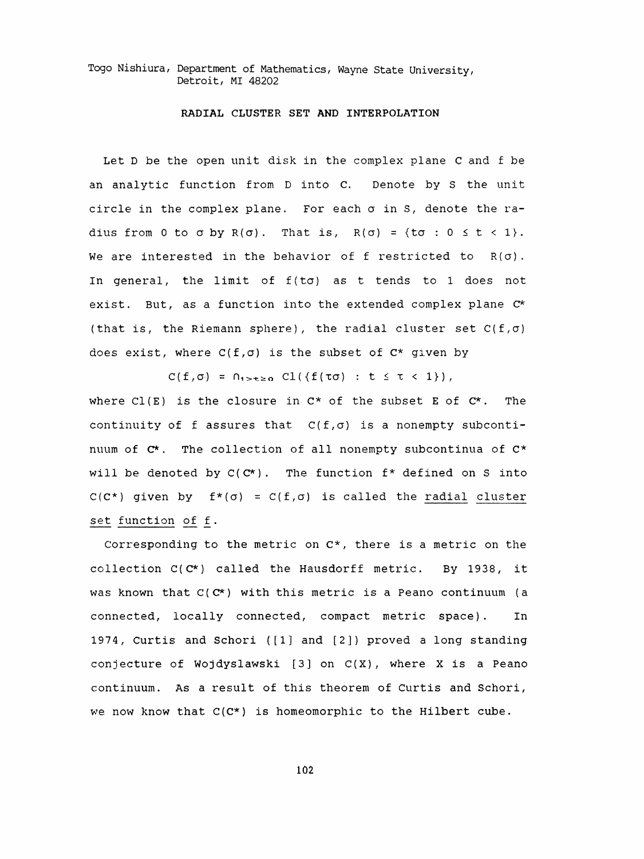Togo Nishiura, Department of Mathematics, Wayne State University, Detroit, MI 48202

## RADIAL CLUSTER SET AND INTERPOLATION

 Let D be the open unit disk in the complex plane C and f be an analytic function from D into C. Denote by S the unit circle in the complex plane. For each  $\sigma$  in S, denote the radius from 0 to  $\sigma$  by R( $\sigma$ ). That is, R( $\sigma$ ) = {t $\sigma$  : 0  $\leq$  t < 1}. We are interested in the behavior of f restricted to  $R(\sigma)$ . In general, the limit of  $f(t\sigma)$  as t tends to 1 does not exist. But, as a function into the extended complex plane C\* (that is, the Riemann sphere), the radial cluster set  $C(f,\sigma)$ does exist, where  $C(f, \sigma)$  is the subset of  $C^*$  given by

 $C(f,\sigma) = \bigcap_{1 \le t \le \sigma} C1(\{f(\tau \sigma) : t \le \tau < 1\}),$ 

where  $Cl(E)$  is the closure in  $C^*$  of the subset E of  $C^*$ . The continuity of f assures that  $C(f,\sigma)$  is a nonempty subcontinuum of  $C^*$ . The collection of all nonempty subcontinua of  $C^*$ will be denoted by  $C(C^*)$ . The function  $f^*$  defined on S into  $C(C^*)$  given by  $f^*(\sigma) = C(f, \sigma)$  is called the radial cluster set function of f .

 Corresponding to the metric on C\*, there is a metric on the collection C(C\*) called the Hausdorff metric. By 1938, it was known that  $C(C^*)$  with this metric is a Peano continuum (a connected, locally connected, compact metric space). In 1974, Curtis and Schori ([1] and [2]) proved a long standing conjecture of Wojdyslawski  $[3]$  on  $C(X)$ , where X is a Peano continuum. As a result of this theorem of Curtis and Schori, we now know that  $C(C^*)$  is homeomorphic to the Hilbert cube.

102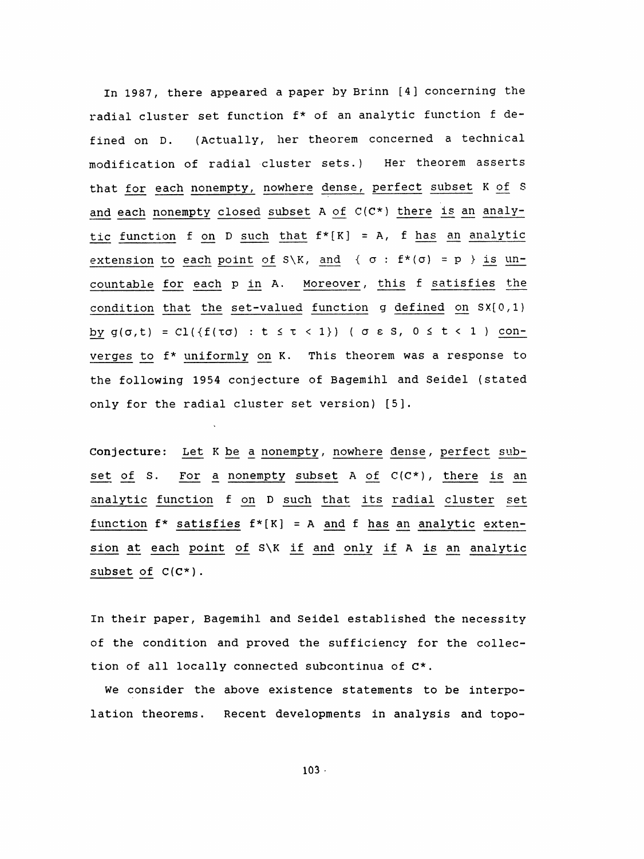In 1987, there appeared a paper by Brinn [4] concerning the radial cluster set function f\* of an analytic function f de fined on D. (Actually, her theorem concerned a technical modification of radial cluster sets.) Her theorem asserts that for each nonempty, nowhere dense, perfect subset K of S and each nonempty closed subset A of  $C(C^*)$  there is an analytic function f on D such that  $f^*[K] = A$ , f has an analytic extension to each point of S\K, and {  $\sigma$  :  $f^*(\sigma) = p$  } is un countable for each p in A. Moreover , this f satisfies the condition that the set-valued function g defined on SX[0,1) by  $g(\sigma,t) = C1({f(\tau\sigma) : t \leq \tau < 1})$  (  $\sigma \epsilon$  S,  $0 \leq t < 1$  ) con verges to f\* uniformly on K. This theorem was a response to the following 1954 conjecture of Bagemihl and Seidel (stated only for the radial cluster set version) [5].

 Conjecture: Let K be a nonempty , nowhere dense , perfect sub set of S. For a nonempty subset A of  $C(C^*)$ , there is an analytic function f on D such that its radial cluster set function  $f^*$  satisfies  $f^*[K] = A$  and  $f$  has an analytic extension at each point of S\K if and only if A is an analytic subset of  $C(C^*)$ .

 In their paper, Bagemihl and Seidel established the necessity of the condition and proved the sufficiency for the collec tion of all locally connected subcontinua of C\*.

 We consider the above existence statements to be interpo lation theorems. Recent developments in analysis and topo-

 $103$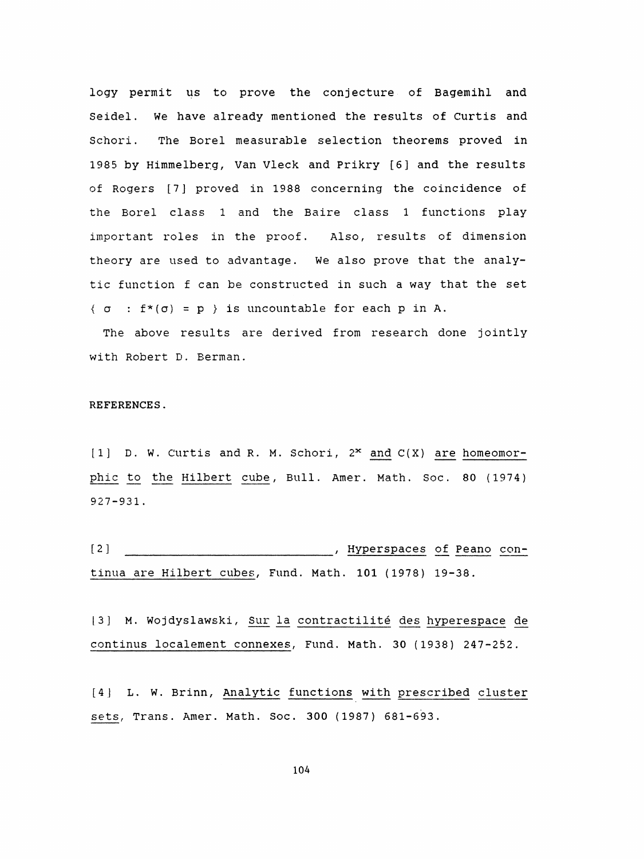logy permit us to prove the conjecture of Bagemihl and Seidel. We have already mentioned the results of Curtis and Schori. The Borei measurable selection theorems proved in 1985 by Himmelberg, Van Vleck and Prikry [6] and the results of Rogers [7] proved in 1988 concerning the coincidence of the Borei class 1 and the Baire class 1 functions play important roles in the proof. Also, results of dimension theory are used to advantage. We also prove that the analy tic function f can be constructed in such a way that the set  $\{\sigma : f^*(\sigma) = p \}$  is uncountable for each p in A.

 The above results are derived from research done jointly with Robert D. Berman.

## REFERENCES .

[1]  $D. W.$  Curtis and R. M. Schori,  $2^{\infty}$  and  $C(X)$  are homeomorphic to the Hilbert cube, Bull. Amer. Math. Soc. 80 (1974) 927-931 .

 [2] Hyperspaces of Peano continua are Hilbert cubes, Fund. Math. 101 (1978) 19-38.

[3] M. Wojdyslawski, Sur la contractilité des hyperespace de continus localement connexes, Fund. Math. 30 (1938) 247-252.

[4] L. W. Brinn, Analytic functions with prescribed cluster sets, Trans. Amer. Math. Soc. 300 (1987) 681-693.